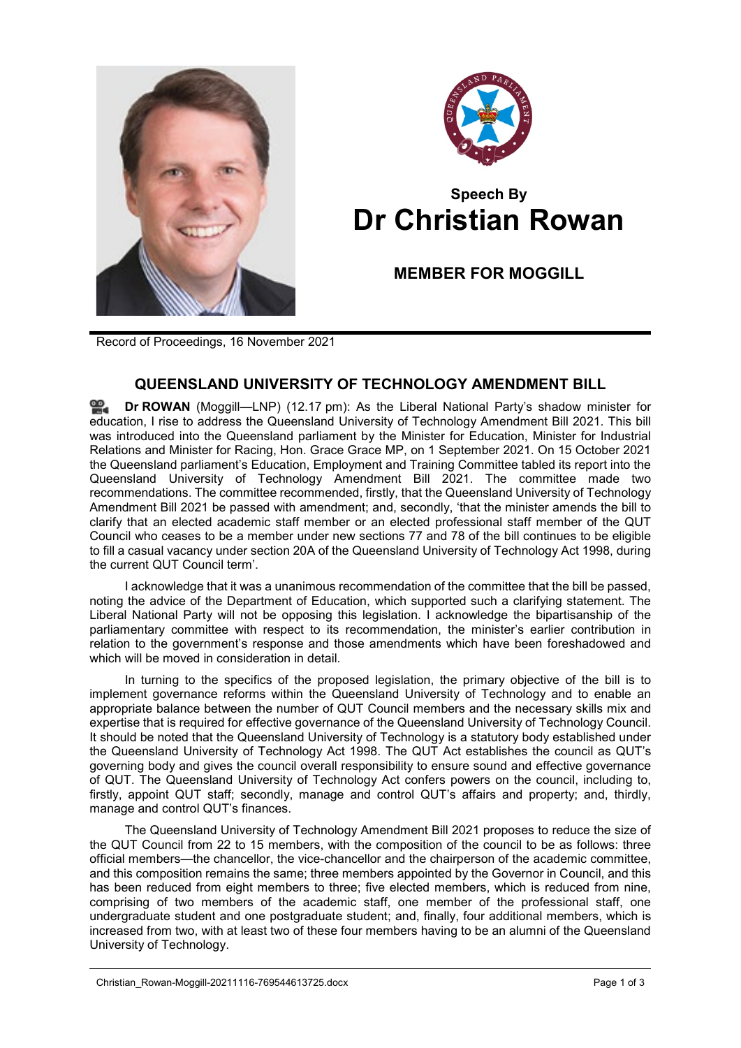



## **Speech By Dr Christian Rowan**

**MEMBER FOR MOGGILL**

Record of Proceedings, 16 November 2021

## **QUEENSLAND UNIVERSITY OF TECHNOLOGY AMENDMENT BILL**

**Dr [ROWAN](http://www.parliament.qld.gov.au/docs/find.aspx?id=0Mba20211116_121730)** (Moggill—LNP) (12.17 pm): As the Liberal National Party's shadow minister for education, I rise to address the Queensland University of Technology Amendment Bill 2021. This bill was introduced into the Queensland parliament by the Minister for Education, Minister for Industrial Relations and Minister for Racing, Hon. Grace Grace MP, on 1 September 2021. On 15 October 2021 the Queensland parliament's Education, Employment and Training Committee tabled its report into the Queensland University of Technology Amendment Bill 2021. The committee made two recommendations. The committee recommended, firstly, that the Queensland University of Technology Amendment Bill 2021 be passed with amendment; and, secondly, 'that the minister amends the bill to clarify that an elected academic staff member or an elected professional staff member of the QUT Council who ceases to be a member under new sections 77 and 78 of the bill continues to be eligible to fill a casual vacancy under section 20A of the Queensland University of Technology Act 1998, during the current QUT Council term'.

I acknowledge that it was a unanimous recommendation of the committee that the bill be passed, noting the advice of the Department of Education, which supported such a clarifying statement. The Liberal National Party will not be opposing this legislation. I acknowledge the bipartisanship of the parliamentary committee with respect to its recommendation, the minister's earlier contribution in relation to the government's response and those amendments which have been foreshadowed and which will be moved in consideration in detail.

In turning to the specifics of the proposed legislation, the primary objective of the bill is to implement governance reforms within the Queensland University of Technology and to enable an appropriate balance between the number of QUT Council members and the necessary skills mix and expertise that is required for effective governance of the Queensland University of Technology Council. It should be noted that the Queensland University of Technology is a statutory body established under the Queensland University of Technology Act 1998. The QUT Act establishes the council as QUT's governing body and gives the council overall responsibility to ensure sound and effective governance of QUT. The Queensland University of Technology Act confers powers on the council, including to, firstly, appoint QUT staff; secondly, manage and control QUT's affairs and property; and, thirdly, manage and control QUT's finances.

The Queensland University of Technology Amendment Bill 2021 proposes to reduce the size of the QUT Council from 22 to 15 members, with the composition of the council to be as follows: three official members—the chancellor, the vice-chancellor and the chairperson of the academic committee, and this composition remains the same; three members appointed by the Governor in Council, and this has been reduced from eight members to three; five elected members, which is reduced from nine, comprising of two members of the academic staff, one member of the professional staff, one undergraduate student and one postgraduate student; and, finally, four additional members, which is increased from two, with at least two of these four members having to be an alumni of the Queensland University of Technology.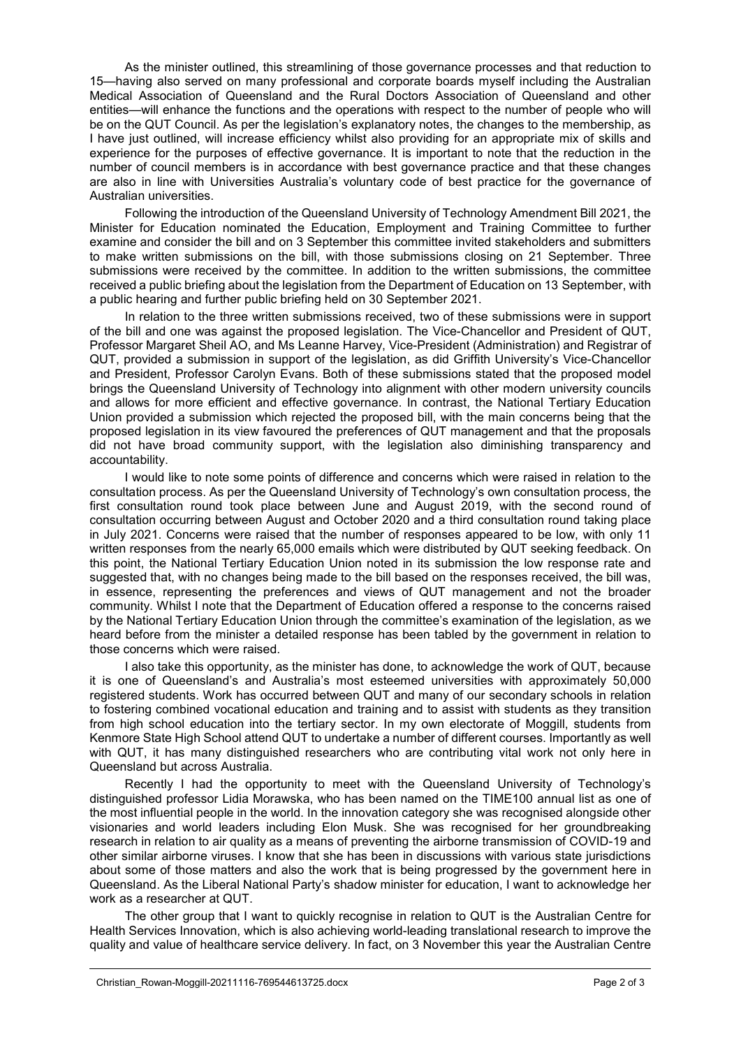As the minister outlined, this streamlining of those governance processes and that reduction to 15—having also served on many professional and corporate boards myself including the Australian Medical Association of Queensland and the Rural Doctors Association of Queensland and other entities—will enhance the functions and the operations with respect to the number of people who will be on the QUT Council. As per the legislation's explanatory notes, the changes to the membership, as I have just outlined, will increase efficiency whilst also providing for an appropriate mix of skills and experience for the purposes of effective governance. It is important to note that the reduction in the number of council members is in accordance with best governance practice and that these changes are also in line with Universities Australia's voluntary code of best practice for the governance of Australian universities.

Following the introduction of the Queensland University of Technology Amendment Bill 2021, the Minister for Education nominated the Education, Employment and Training Committee to further examine and consider the bill and on 3 September this committee invited stakeholders and submitters to make written submissions on the bill, with those submissions closing on 21 September. Three submissions were received by the committee. In addition to the written submissions, the committee received a public briefing about the legislation from the Department of Education on 13 September, with a public hearing and further public briefing held on 30 September 2021.

In relation to the three written submissions received, two of these submissions were in support of the bill and one was against the proposed legislation. The Vice-Chancellor and President of QUT, Professor Margaret Sheil AO, and Ms Leanne Harvey, Vice-President (Administration) and Registrar of QUT, provided a submission in support of the legislation, as did Griffith University's Vice-Chancellor and President, Professor Carolyn Evans. Both of these submissions stated that the proposed model brings the Queensland University of Technology into alignment with other modern university councils and allows for more efficient and effective governance. In contrast, the National Tertiary Education Union provided a submission which rejected the proposed bill, with the main concerns being that the proposed legislation in its view favoured the preferences of QUT management and that the proposals did not have broad community support, with the legislation also diminishing transparency and accountability.

I would like to note some points of difference and concerns which were raised in relation to the consultation process. As per the Queensland University of Technology's own consultation process, the first consultation round took place between June and August 2019, with the second round of consultation occurring between August and October 2020 and a third consultation round taking place in July 2021. Concerns were raised that the number of responses appeared to be low, with only 11 written responses from the nearly 65,000 emails which were distributed by QUT seeking feedback. On this point, the National Tertiary Education Union noted in its submission the low response rate and suggested that, with no changes being made to the bill based on the responses received, the bill was, in essence, representing the preferences and views of QUT management and not the broader community. Whilst I note that the Department of Education offered a response to the concerns raised by the National Tertiary Education Union through the committee's examination of the legislation, as we heard before from the minister a detailed response has been tabled by the government in relation to those concerns which were raised.

I also take this opportunity, as the minister has done, to acknowledge the work of QUT, because it is one of Queensland's and Australia's most esteemed universities with approximately 50,000 registered students. Work has occurred between QUT and many of our secondary schools in relation to fostering combined vocational education and training and to assist with students as they transition from high school education into the tertiary sector. In my own electorate of Moggill, students from Kenmore State High School attend QUT to undertake a number of different courses. Importantly as well with QUT, it has many distinguished researchers who are contributing vital work not only here in Queensland but across Australia.

Recently I had the opportunity to meet with the Queensland University of Technology's distinguished professor Lidia Morawska, who has been named on the TIME100 annual list as one of the most influential people in the world. In the innovation category she was recognised alongside other visionaries and world leaders including Elon Musk. She was recognised for her groundbreaking research in relation to air quality as a means of preventing the airborne transmission of COVID-19 and other similar airborne viruses. I know that she has been in discussions with various state jurisdictions about some of those matters and also the work that is being progressed by the government here in Queensland. As the Liberal National Party's shadow minister for education, I want to acknowledge her work as a researcher at QUT.

The other group that I want to quickly recognise in relation to QUT is the Australian Centre for Health Services Innovation, which is also achieving world-leading translational research to improve the quality and value of healthcare service delivery. In fact, on 3 November this year the Australian Centre